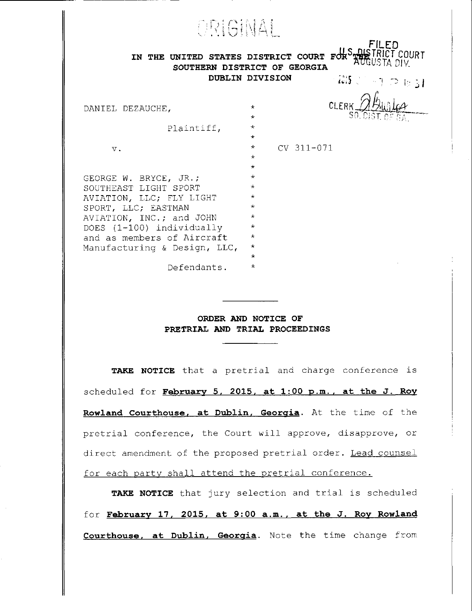| ORIGINAL<br>FILED<br>IN THE UNITED STATES DISTRICT COURT<br>SOUTHERN DISTRICT OF GEORGIA<br>DUBLIN DIVISION<br>$\{792\pm1.00\}$ in $31$ |                                               |
|-----------------------------------------------------------------------------------------------------------------------------------------|-----------------------------------------------|
| DANIEL DEZAUCHE,                                                                                                                        | CLERK<br>$\star$<br>$\star$                   |
| Plaintiff,                                                                                                                              | $\star$<br>$\star$                            |
| $V$ .                                                                                                                                   | $CV$ 311-071<br>$\star$<br>$\star$<br>$\star$ |
| GEORGE W. BRYCE, JR.;                                                                                                                   | $^\star$                                      |
| SOUTHEAST LIGHT SPORT                                                                                                                   | $\star$                                       |
| AVIATION, LLC; FLY LIGHT                                                                                                                | $\star$<br>$\star$                            |
| SPORT, LLC; EASTMAN<br>AVIATION, INC.; and JOHN                                                                                         | $\star$                                       |
| DOES (1-100) individually                                                                                                               | $\star$                                       |
| and as members of Aircraft                                                                                                              | $\star$                                       |
| Manufacturing & Design, LLC,                                                                                                            | $^\star$                                      |
| Defendants.                                                                                                                             | $\star$<br>$^\star$                           |

## ORDER AND NOTICE OF PRETRIAL AND TRIAL PROCEEDINGS

TAKE NOTICE that a pretrial and charge conference is scheduled for February 5, 2015, at 1:00 p.m., at the J. Roy Rowland Courthouse, at Dublin, Georgia. At the time of the pretrial conference, the Court will approve, disapprove, or direct amendment of the proposed pretrial order. Lead counsel for each party shall attend the pretrial conference.

TAKE NOTICE that jury selection and trial is scheduled for February 17, 2015, at 9:00 a.m., at the J. Roy Rowland **Courthouse, at Dublin, Georgia.** Note the time change from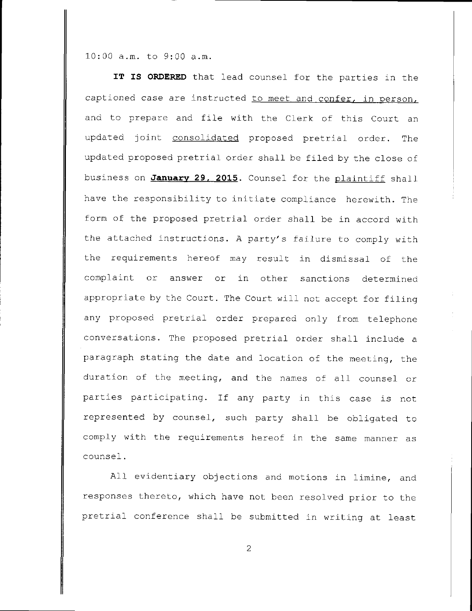$10:00$  a.m. to  $9:00$  a.m.

IT IS ORDERED that lead counsel for the parties in the captioned case are instructed to meet and confer, in person, and to prepare and file with the Clerk of this Court an updated joint consolidated proposed pretrial order. The updated proposed pretrial order shall be filed by the close of business on January 29, 2015. Counsel for the plaintiff shall have the responsibility to initiate compliance herewith. The form of the proposed pretrial order shall be in accord with the attached instructions. A party's failure to comply with the requirements hereof may result in dismissal of the complaint or answer or in other sanctions determined appropriate by the Court. The Court will not accept for filing any proposed pretrial order prepared only from telephone conversations. The proposed pretrial order shall include a paragraph stating the date and location of the meeting, the duration of the meeting, and the names of all counsel or parties participating. If any party in this case is not represented by counsel, such party shall be obligated to comply with the requirements hereof in the same manner as counsel.

All evidentiary objections and motions in limine, and responses thereto, which have not been resolved prior to the pretrial conference shall be submitted in writing at least

 $\overline{2}$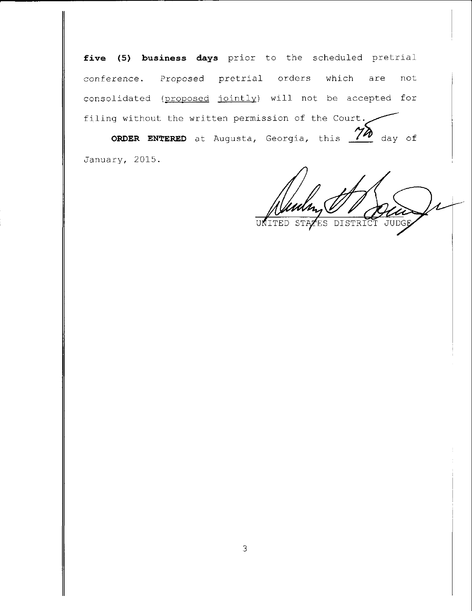five (5) business days prior to the scheduled pretrial conference. Proposed pretrial orders which are not consolidated (proposed jointly) will not be accepted for filing without the written permission of the Court.

ORDER ENTERED at Augusta, Georgia, this  $\frac{\gamma \lambda}{\lambda}$  day of January, 2015.

DISTRICT **STAZES JUDGE** UNITED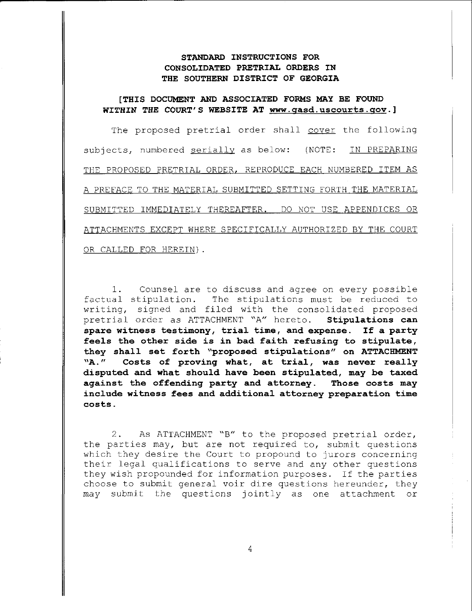## STANDARD INSTRUCTIONS FOR CONSOIIDATED PRETRIAI ORDERS IN THE SOUTHERN DISTRICT OF GEORGIA

## [THIS DOCUMENT AND ASSOCIATED FORMS MAY BE FOUND WITHIN THE COURT'S WEBSITE AT www.qasd.uscourts.qov.]

The proposed pretrial order shall cover the following subjects, numbered serially as below: (NOTE: IN PREPARING THE PROPOSED PRETRIAL ORDER, REPRODUCE EACH NUMBERED ITEM AS A PREFACE TO THE MATERIAL SUBMITTED SETTING FORTH THE MATERIAL SUBMITTED IMMEDIATELY THEREAFTER. DO NOT USE APPENDICES OR ATTACHMENTS EXCEPT WHERE SPECIFICALLY AUTHORIZED BY THE COURT OR CALLED FOR HEREIN) .

1. Counsel are to discuss and agree on every possible factual stipulation. The stipulations must be reduced to writing, signed and filed with the consolidated proposed pretrial order as ATTACHMENT "A" hereto. Stipulations can spare witness testimony, trial time, and expense. If a party feels the other side is in bad faith refusing to stipulate, they shall set forth "proposed stipulations" on ATTACHMENT<br>"A." Costs of proving what, at trial, was never really Costs of proving what, at trial, was never really disputed and what should have been stipulated, may be taxed against the offending party and attorney. Those costs may incJ.ude witness fees and additional attorney preparation time costs.

2. As ATTACHMENT "B" to the proposed pretrial order, the parties may, but are not required to, submit questions which they desire the Court to propound to jurors concerning their legal qualifications to serve and any other questions they wish propounded for information purposes. If the parties choose to submit general voir dire questions hereunder, they may submit the questions jointly as one attachment or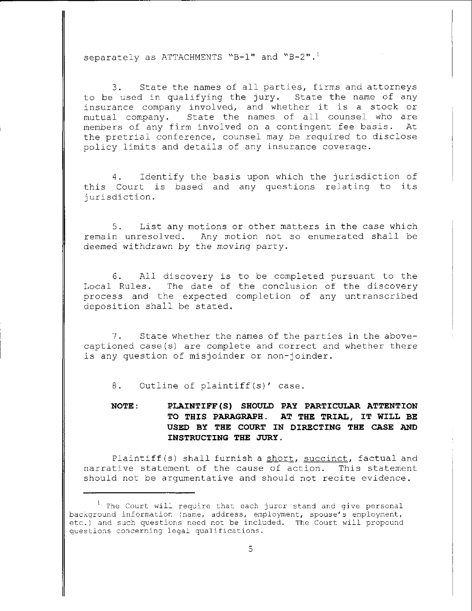separately as ATTACHMENTS "B-1" and "B-2".<sup>1</sup>

State the names of all parties, firms and attorneys  $3.$ to be used in qualifying the jury. State the name of any insurance company involved, and whether it is a stock or State the names of all counsel who are mutual company. members of any firm involved on a contingent fee basis. At the pretrial conference, counsel may be required to disclose policy limits and details of any insurance coverage.

Identify the basis upon which the jurisdiction of 4. this Court is based and any questions relating to its jurisdiction.

List any motions or other matters in the case which 5. remain unresolved. Any motion not so enumerated shall be deemed withdrawn by the moving party.

All discovery is to be completed pursuant to the 6. Local Rules. The date of the conclusion of the discovery process and the expected completion of any untranscribed deposition shall be stated.

 $7.$ State whether the names of the parties in the abovecaptioned case(s) are complete and correct and whether there is any question of misjoinder or non-joinder.

Outline of plaintiff(s)' case. 8.

NOTE: PLAINTIFF(S) SHOULD PAY PARTICULAR ATTENTION TO THIS PARAGRAPH. AT THE TRIAL, IT WILL BE USED BY THE COURT IN DIRECTING THE CASE AND INSTRUCTING THE JURY.

Plaintiff(s) shall furnish a short, succinct, factual and narrative statement of the cause of action. This statement should not be argumentative and should not recite evidence.

<sup>&</sup>lt;sup>1</sup> The Court will require that each juror stand and give personal background information (name, address, employment, spouse's employment, etc.) and such questions need not be included. The Court will propound questions concerning legal qualifications.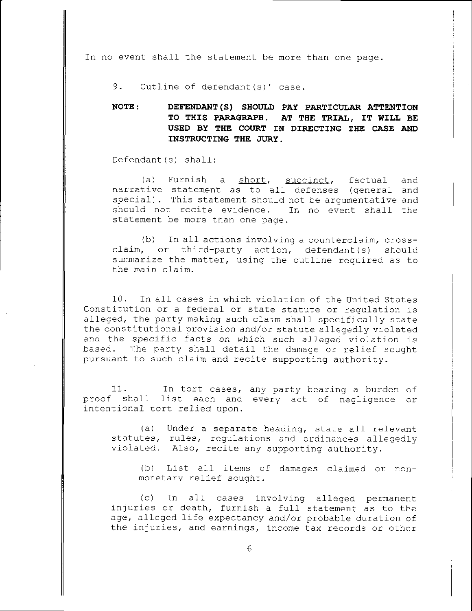In no event shall the statement be more than one page.

Outline of defendant(s)' case.  $9.$ 

NOTE: DEFENDANT (S) SHOULD PAY PARTICULAR ATTENTION TO THIS PARAGRAPH. AT THE TRIAL, IT WILL BE USED BY THE COURT IN DIRECTING THE CASE AND INSTRUCTING THE JURY.

Defendant(s) shall:

(a) Furnish a short, succinct, factual and narrative statement as to all defenses (general and special). This statement should not be argumentative and should not recite evidence. In no event shall the statement be more than one page.

(b) In all actions involving a counterclaim, crossclaim, or third-party action, defendant(s) should summarize the matter, using the outline required as to the main claim.

 $10.$ In all cases in which violation of the United States Constitution or a federal or state statute or regulation is alleged, the party making such claim shall specifically state the constitutional provision and/or statute allegedly violated and the specific facts on which such alleged violation is based. The party shall detail the damage or relief sought pursuant to such claim and recite supporting authority.

 $11.$ In tort cases, any party bearing a burden of proof shall list each and every act of negligence or intentional tort relied upon.

 $(a)$ Under a separate heading, state all relevant statutes, rules, regulations and ordinances allegedly violated. Also, recite any supporting authority.

(b) List all items of damages claimed or nonmonetary relief sought.

 $(c)$ In all cases involving alleged permanent injuries or death, furnish a full statement as to the age, alleged life expectancy and/or probable duration of the injuries, and earnings, income tax records or other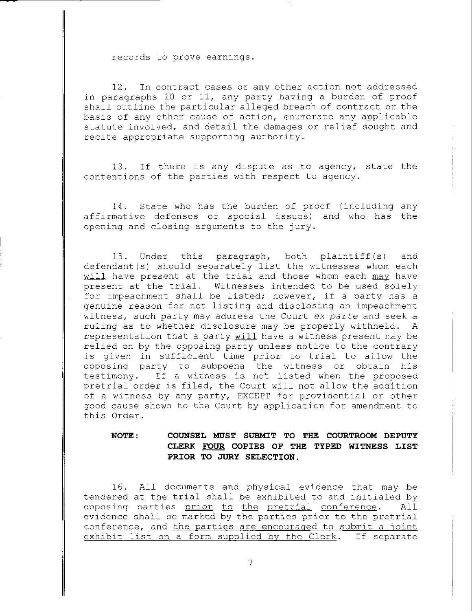records to prove earnings.

 $12.$ In contract cases or any other action not addressed in paragraphs 10 or 11, any party having a burden of proof shall outline the particular alleged breach of contract or the basis of any other cause of action, enumerate any applicable statute involved, and detail the damages or relief sought and recite appropriate supporting authority.

If there is any dispute as to agency, state the 13. contentions of the parties with respect to agency.

State who has the burden of proof (including any 14. affirmative defenses or special issues) and who has the opening and closing arguments to the jury.

 $15.$ Under this paragraph, both plaintiff(s) and defendant(s) should separately list the witnesses whom each will have present at the trial and those whom each may have present at the trial. Witnesses intended to be used solely for impeachment shall be listed; however, if a party has a genuine reason for not listing and disclosing an impeachment witness, such party may address the Court ex parte and seek a ruling as to whether disclosure may be properly withheld. A representation that a party will have a witness present may be relied on by the opposing party unless notice to the contrary is given in sufficient time prior to trial to allow the opposing party to subpoena the witness or obtain his If a witness is not listed when the proposed testimony. pretrial order is filed, the Court will not allow the addition of a witness by any party, EXCEPT for providential or other good cause shown to the Court by application for amendment to this Order.

## COUNSEL MUST SUBMIT TO THE COURTROOM DEPUTY NOTE: CLERK FOUR COPIES OF THE TYPED WITNESS LIST PRIOR TO JURY SELECTION.

16. All documents and physical evidence that may be tendered at the trial shall be exhibited to and initialed by opposing parties prior to the pretrial conference. All evidence shall be marked by the parties prior to the pretrial conference, and the parties are encouraged to submit a joint exhibit list on a form supplied by the Clerk. If separate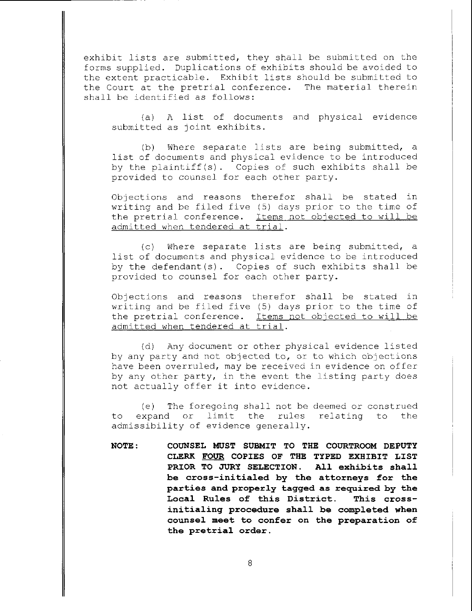exhibit lists are submitted, they shall be submitted on the forms supplied. Duplications of exhibits should be avoided to the extent practicable. Exhibit lists should be submitted to the Court at the pretrial conference. The material therein shall be identified as follows:

(a) A list of documents and physical evidence submitted as joint exhibits.

 $(d)$ Where separate lists are being submitted, a list of documents and physical evidence to be introduced by the plaintiff(s). Copies of such exhibits shall be provided to counsel for each other party.

Objections and reasons therefor shall be stated in writing and be filed five (5) days prior to the time of the pretrial conference. Items not objected to will be admitted when tendered at trial.

Where separate lists are being submitted, a  $(c)$ list of documents and physical evidence to be introduced by the defendant(s). Copies of such exhibits shall be provided to counsel for each other party.

Objections and reasons therefor shall be stated in writing and be filed five (5) days prior to the time of the pretrial conference. Items not objected to will be admitted when tendered at trial.

Any document or other physical evidence listed  $(d)$ by any party and not objected to, or to which objections have been overruled, may be received in evidence on offer by any other party, in the event the listing party does not actually offer it into evidence.

The foregoing shall not be deemed or construed  $(e)$ or limit the rules relating to expand to the admissibility of evidence generally.

NOTE: COUNSEL MUST SUBMIT TO THE COURTROOM DEPUTY CLERK FOUR COPIES OF THE TYPED EXHIBIT LIST PRIOR TO JURY SELECTION. All exhibits shall be cross-initialed by the attorneys for the parties and properly tagged as required by the Local Rules of this District. This crossinitialing procedure shall be completed when counsel meet to confer on the preparation of the pretrial order.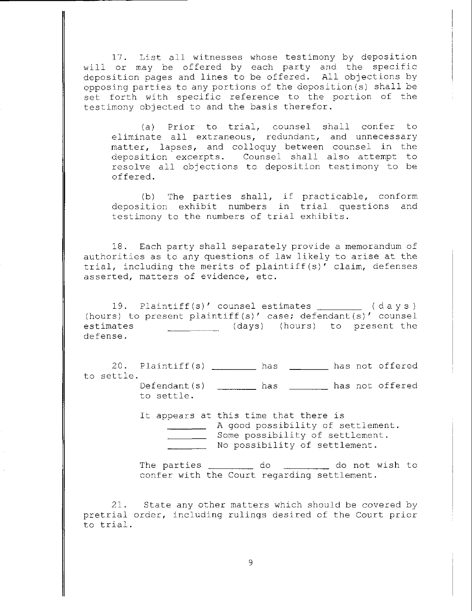17. List all witnesses whose testimony by deposition will or may be offered by each party and the specific deposition pages and lines to be offered. All objections by opposing parties to any portions of the deposition (s) shall be set forth with specific reference to the portion of the testimony objected to and the basis therefor.

(a) Prior to trial, counsel shall confer to eliminate all extraneous, redundant, and unnecessary matter, lapses, and colloquy between counsel in the deposition excerpts. Counsel shall also attempt to resolve all objections to deposition testimony to be offered.

(b) The parties shall, if practicable, conform deposition exhibit numbers in trial questions and testimony to the numbers of trial exhibits.

18. Each party shall separately provide a memorandum of authorities as to any questions of law likely to arise at the trial, including the merits of plaintiff(s)' claim, defenses asserted, matters of evidence, etc.

19. Plaintiff(s)' counsel estimates \_\_\_\_\_\_\_\_ (days) (hours) to present plaintiff(s)' case; defendant(s)' counsel (days) (hours) to present the estimates defense.

20. Plaintiff(s) \_\_\_\_\_\_\_\_ has \_\_\_\_\_ has not offered to settle.

Defendant(s) \_\_\_\_\_\_\_\_ has \_\_\_\_\_\_\_ has not offered to settle.

It appears at this time that there is A good possibility of settlement. Some possibility of settlement. No possibility of settlement.

The parties will be do do not wish to confer with the Court regarding settlement.

21. State any other matters which should be covered by pretrial order, including rulings desired of the Court prior to trial.